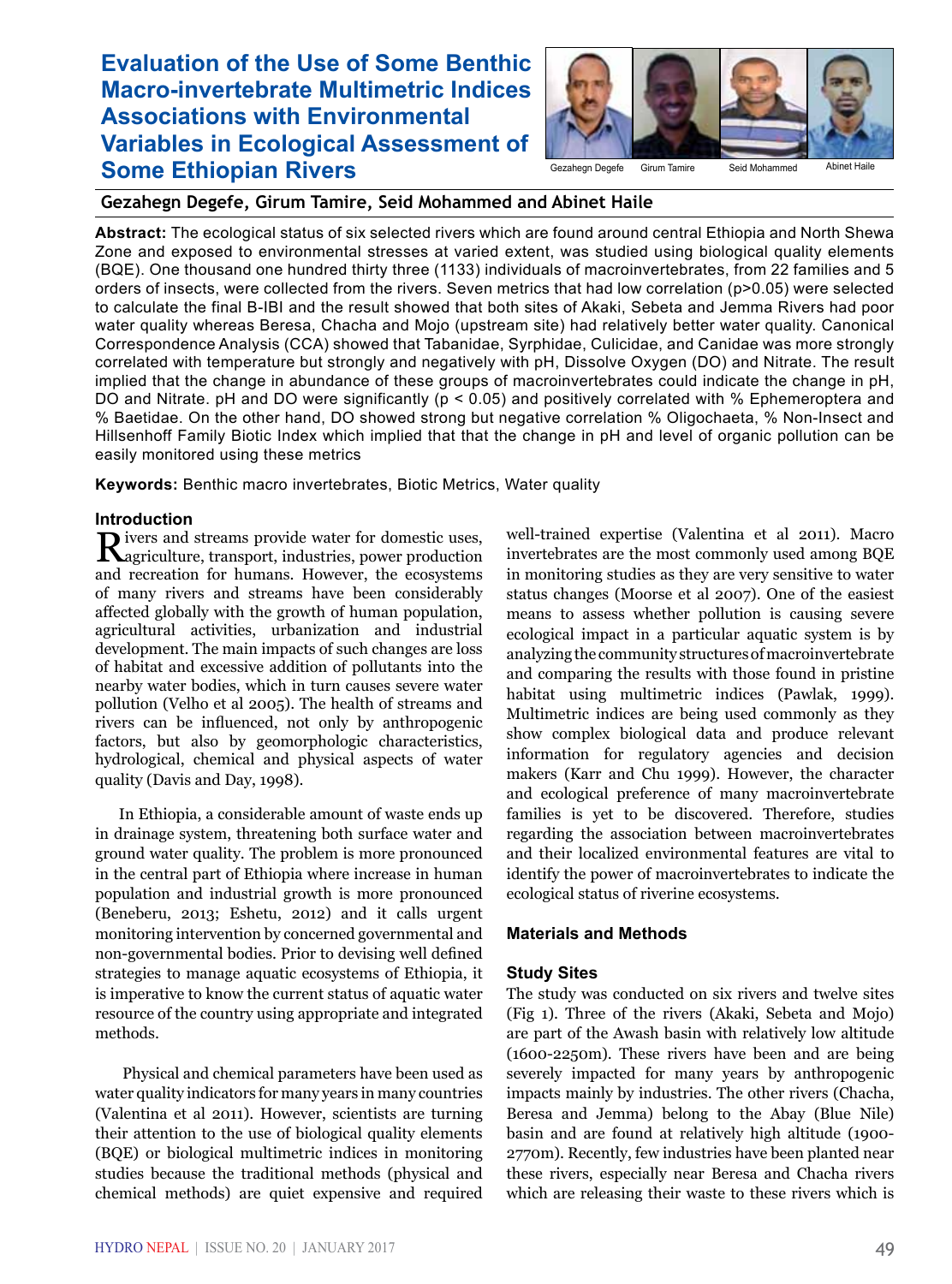# **Evaluation of the Use of Some Benthic Macro-invertebrate Multimetric Indices Associations with Environmental Variables in Ecological Assessment of Some Ethiopian Rivers**



egn Degefe Girum Tamire Seid Mohammed Abinet Haile

## **Gezahegn Degefe, Girum Tamire, Seid Mohammed and Abinet Haile**

**Abstract:** The ecological status of six selected rivers which are found around central Ethiopia and North Shewa Zone and exposed to environmental stresses at varied extent, was studied using biological quality elements (BQE). One thousand one hundred thirty three (1133) individuals of macroinvertebrates, from 22 families and 5 orders of insects, were collected from the rivers. Seven metrics that had low correlation (p>0.05) were selected to calculate the final B-IBI and the result showed that both sites of Akaki, Sebeta and Jemma Rivers had poor water quality whereas Beresa, Chacha and Mojo (upstream site) had relatively better water quality. Canonical Correspondence Analysis (CCA) showed that Tabanidae, Syrphidae, Culicidae, and Canidae was more strongly correlated with temperature but strongly and negatively with pH, Dissolve Oxygen (DO) and Nitrate. The result implied that the change in abundance of these groups of macroinvertebrates could indicate the change in pH, DO and Nitrate. pH and DO were significantly ( $p < 0.05$ ) and positively correlated with % Ephemeroptera and % Baetidae. On the other hand, DO showed strong but negative correlation % Oligochaeta, % Non-Insect and Hillsenhoff Family Biotic Index which implied that that the change in pH and level of organic pollution can be easily monitored using these metrics

**Keywords:** Benthic macro invertebrates, Biotic Metrics, Water quality

#### **Introduction**

Rivers and streams provide water for domestic uses,<br>
agriculture, transport, industries, power production and recreation for humans. However, the ecosystems of many rivers and streams have been considerably affected globally with the growth of human population, agricultural activities, urbanization and industrial development. The main impacts of such changes are loss of habitat and excessive addition of pollutants into the nearby water bodies, which in turn causes severe water pollution (Velho et al 2005). The health of streams and rivers can be influenced, not only by anthropogenic factors, but also by geomorphologic characteristics, hydrological, chemical and physical aspects of water quality (Davis and Day, 1998).

In Ethiopia, a considerable amount of waste ends up in drainage system, threatening both surface water and ground water quality. The problem is more pronounced in the central part of Ethiopia where increase in human population and industrial growth is more pronounced (Beneberu, 2013; Eshetu, 2012) and it calls urgent monitoring intervention by concerned governmental and non-governmental bodies. Prior to devising well defined strategies to manage aquatic ecosystems of Ethiopia, it is imperative to know the current status of aquatic water resource of the country using appropriate and integrated methods.

 Physical and chemical parameters have been used as water quality indicators for many years in many countries (Valentina et al 2011). However, scientists are turning their attention to the use of biological quality elements (BQE) or biological multimetric indices in monitoring studies because the traditional methods (physical and chemical methods) are quiet expensive and required well-trained expertise (Valentina et al 2011). Macro invertebrates are the most commonly used among BQE in monitoring studies as they are very sensitive to water status changes (Moorse et al 2007). One of the easiest means to assess whether pollution is causing severe ecological impact in a particular aquatic system is by analyzing the community structures of macroinvertebrate and comparing the results with those found in pristine habitat using multimetric indices (Pawlak, 1999). Multimetric indices are being used commonly as they show complex biological data and produce relevant information for regulatory agencies and decision makers (Karr and Chu 1999). However, the character and ecological preference of many macroinvertebrate families is yet to be discovered. Therefore, studies regarding the association between macroinvertebrates and their localized environmental features are vital to identify the power of macroinvertebrates to indicate the ecological status of riverine ecosystems.

## **Materials and Methods**

#### **Study Sites**

The study was conducted on six rivers and twelve sites (Fig 1). Three of the rivers (Akaki, Sebeta and Mojo) are part of the Awash basin with relatively low altitude (1600-2250m). These rivers have been and are being severely impacted for many years by anthropogenic impacts mainly by industries. The other rivers (Chacha, Beresa and Jemma) belong to the Abay (Blue Nile) basin and are found at relatively high altitude (1900- 2770m). Recently, few industries have been planted near these rivers, especially near Beresa and Chacha rivers which are releasing their waste to these rivers which is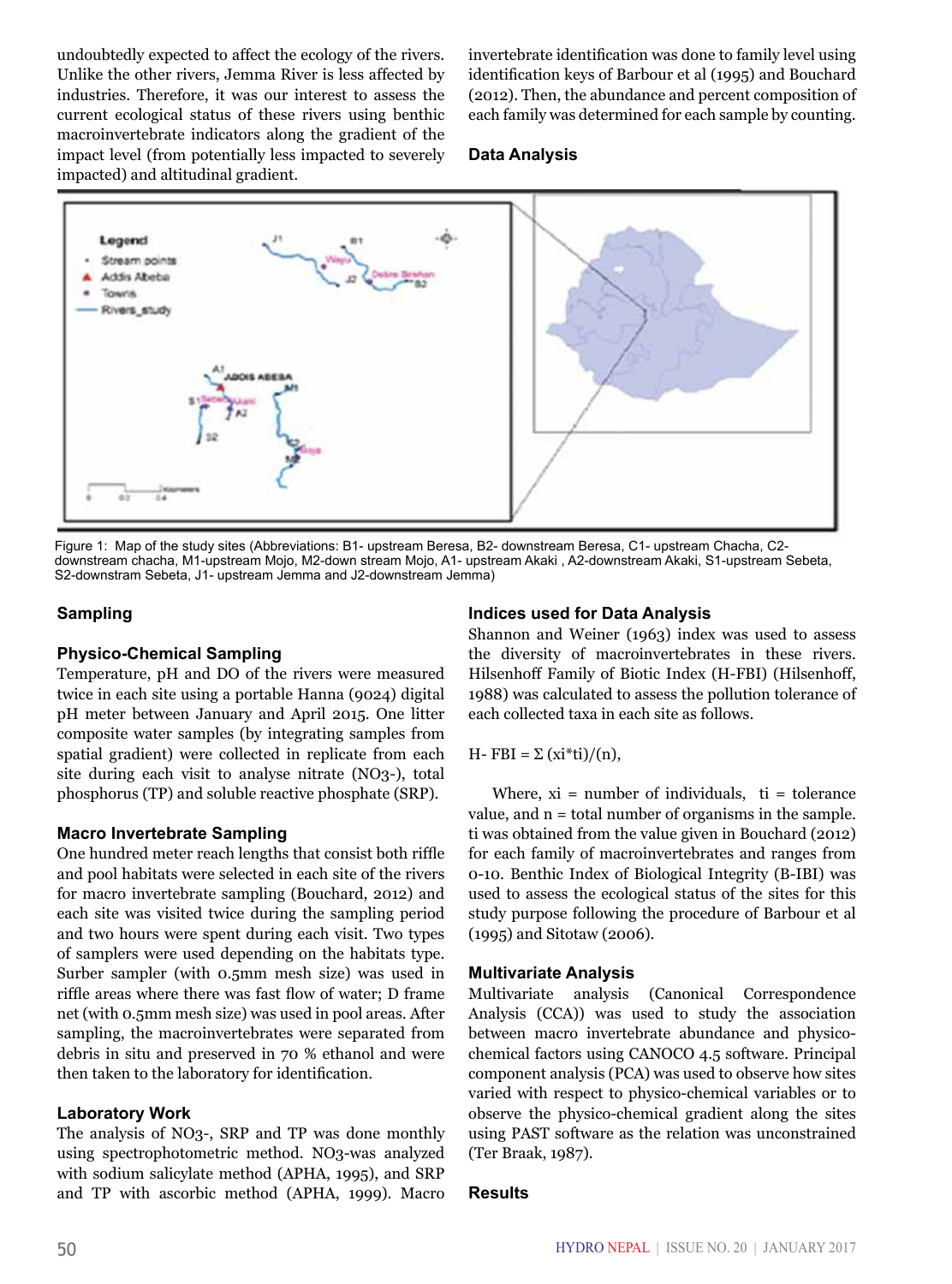undoubtedly expected to affect the ecology of the rivers. Unlike the other rivers, Jemma River is less affected by industries. Therefore, it was our interest to assess the current ecological status of these rivers using benthic macroinvertebrate indicators along the gradient of the impact level (from potentially less impacted to severely impacted) and altitudinal gradient.

invertebrate identification was done to family level using identification keys of Barbour et al (1995) and Bouchard (2012). Then, the abundance and percent composition of each family was determined for each sample by counting.

#### **Data Analysis**



Figure 1: Map of the study sites (Abbreviations: B1- upstream Beresa, B2- downstream Beresa, C1- upstream Chacha, C2 downstream chacha, M1-upstream Mojo, M2-down stream Mojo, A1- upstream Akaki , A2-downstream Akaki, S1-upstream Sebeta, S2-downstram Sebeta, J1- upstream Jemma and J2-downstream Jemma)

## **Sampling**

#### **Physico-Chemical Sampling**

Temperature, pH and DO of the rivers were measured twice in each site using a portable Hanna (9024) digital pH meter between January and April 2015. One litter composite water samples (by integrating samples from spatial gradient) were collected in replicate from each site during each visit to analyse nitrate (NO3-), total phosphorus (TP) and soluble reactive phosphate (SRP).

#### **Macro Invertebrate Sampling**

One hundred meter reach lengths that consist both riffle and pool habitats were selected in each site of the rivers for macro invertebrate sampling (Bouchard, 2012) and each site was visited twice during the sampling period and two hours were spent during each visit. Two types of samplers were used depending on the habitats type. Surber sampler (with 0.5mm mesh size) was used in riffle areas where there was fast flow of water; D frame net (with 0.5mm mesh size) was used in pool areas. After sampling, the macroinvertebrates were separated from debris in situ and preserved in 70 % ethanol and were then taken to the laboratory for identification.

#### **Laboratory Work**

The analysis of NO3-, SRP and TP was done monthly using spectrophotometric method. NO3-was analyzed with sodium salicylate method (APHA, 1995), and SRP and TP with ascorbic method (APHA, 1999). Macro

#### **Indices used for Data Analysis**

Shannon and Weiner (1963) index was used to assess the diversity of macroinvertebrates in these rivers. Hilsenhoff Family of Biotic Index (H-FBI) (Hilsenhoff, 1988) was calculated to assess the pollution tolerance of each collected taxa in each site as follows.

H- FBI =  $\Sigma$  (xi\*ti)/(n),

Where,  $xi = number of individuals,  $ti = tolerance$$ value, and  $n =$  total number of organisms in the sample. ti was obtained from the value given in Bouchard (2012) for each family of macroinvertebrates and ranges from 0-10. Benthic Index of Biological Integrity (B-IBI) was used to assess the ecological status of the sites for this study purpose following the procedure of Barbour et al (1995) and Sitotaw (2006).

#### **Multivariate Analysis**

Multivariate analysis (Canonical Correspondence Analysis (CCA)) was used to study the association between macro invertebrate abundance and physicochemical factors using CANOCO 4.5 software. Principal component analysis (PCA) was used to observe how sites varied with respect to physico-chemical variables or to observe the physico-chemical gradient along the sites using PAST software as the relation was unconstrained (Ter Braak, 1987).

#### **Results**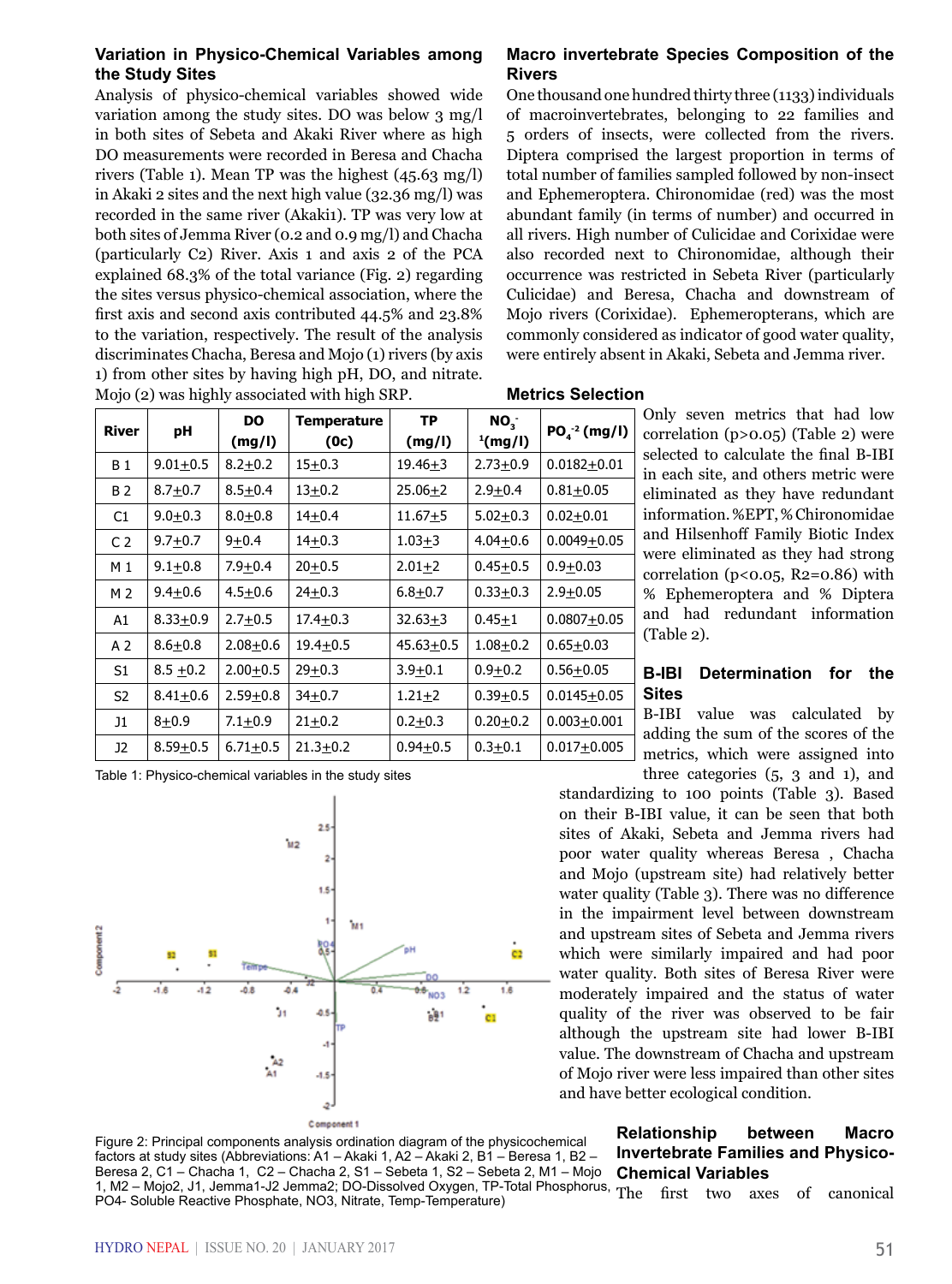## **Variation in Physico-Chemical Variables among the Study Sites**

Analysis of physico-chemical variables showed wide variation among the study sites. DO was below 3 mg/l in both sites of Sebeta and Akaki River where as high DO measurements were recorded in Beresa and Chacha rivers (Table 1). Mean TP was the highest (45.63 mg/l) in Akaki 2 sites and the next high value (32.36 mg/l) was recorded in the same river (Akaki1). TP was very low at both sites of Jemma River (0.2 and 0.9 mg/l) and Chacha (particularly C2) River. Axis 1 and axis 2 of the PCA explained 68.3% of the total variance (Fig. 2) regarding the sites versus physico-chemical association, where the first axis and second axis contributed 44.5% and 23.8% to the variation, respectively. The result of the analysis discriminates Chacha, Beresa and Mojo (1) rivers (by axis 1) from other sites by having high pH, DO, and nitrate. Mojo (2) was highly associated with high SRP.

## **Macro invertebrate Species Composition of the Rivers**

One thousand one hundred thirty three (1133) individuals of macroinvertebrates, belonging to 22 families and 5 orders of insects, were collected from the rivers. Diptera comprised the largest proportion in terms of total number of families sampled followed by non-insect and Ephemeroptera. Chironomidae (red) was the most abundant family (in terms of number) and occurred in all rivers. High number of Culicidae and Corixidae were also recorded next to Chironomidae, although their occurrence was restricted in Sebeta River (particularly Culicidae) and Beresa, Chacha and downstream of Mojo rivers (Corixidae). Ephemeropterans, which are commonly considered as indicator of good water quality, were entirely absent in Akaki, Sebeta and Jemma river.

|  | <b>River</b>   | pH           | <b>DO</b><br>(mg/l) | <b>Temperature</b><br>(0c) | TP.<br>(mg/l) | NO <sub>3</sub><br>$^{1}$ (mg/l) | $PO4-2 (mg/l)$  |  |
|--|----------------|--------------|---------------------|----------------------------|---------------|----------------------------------|-----------------|--|
|  | B 1            | $9.01 + 0.5$ | $8.2 + 0.2$         | $15+0.3$                   | $19.46 + 3$   | $2.73 + 0.9$                     | $0.0182 + 0.01$ |  |
|  | <b>B2</b>      | $8.7 + 0.7$  | $8.5 + 0.4$         | $13 + 0.2$                 | $25.06 + 2$   | $2.9 + 0.4$                      | $0.81 + 0.05$   |  |
|  | C1             | $9.0 + 0.3$  | $8.0 + 0.8$         | $14 + 0.4$                 | $11.67 + 5$   | $5.02 + 0.3$                     | $0.02 + 0.01$   |  |
|  | C <sub>2</sub> | $9.7 + 0.7$  | $9 + 0.4$           | $14+0.3$                   | $1.03 + 3$    | $4.04 + 0.6$                     | $0.0049 + 0.05$ |  |
|  | M 1            | $9.1 + 0.8$  | $7.9 + 0.4$         | $20 + 0.5$                 | $2.01 + 2$    | $0.45 + 0.5$                     | $0.9 + 0.03$    |  |
|  | M <sub>2</sub> | $9.4 + 0.6$  | $4.5 + 0.6$         | $24 + 0.3$                 | $6.8 + 0.7$   | $0.33 + 0.3$                     | $2.9 + 0.05$    |  |
|  | A1             | $8.33 + 0.9$ | $2.7 + 0.5$         | $17.4 + 0.3$               | $32.63 + 3$   | $0.45 + 1$                       | $0.0807 + 0.05$ |  |
|  | A 2            | $8.6 + 0.8$  | $2.08 + 0.6$        | 19.4 <u>+</u> 0.5          | $45.63 + 0.5$ | $1.08 + 0.2$                     | $0.65 + 0.03$   |  |
|  | S <sub>1</sub> | $8.5 + 0.2$  | $2.00 + 0.5$        | $29 + 0.3$                 | $3.9 + 0.1$   | $0.9 + 0.2$                      | $0.56 + 0.05$   |  |
|  | S <sub>2</sub> | $8.41 + 0.6$ | $2.59 + 0.8$        | $34 + 0.7$                 | $1.21 + 2$    | $0.39 + 0.5$                     | $0.0145 + 0.05$ |  |
|  | J1             | $8 + 0.9$    | $7.1 + 0.9$         | $21 + 0.2$                 | $0.2 + 0.3$   | $0.20 + 0.2$                     | $0.003 + 0.001$ |  |
|  | J2             | $8.59 + 0.5$ | $6.71 + 0.5$        | $21.3 + 0.2$               | $0.94 + 0.5$  | $0.3 + 0.1$                      | $0.017 + 0.005$ |  |

Table 1: Physico-chemical variables in the study sites



Figure 2: Principal components analysis ordination diagram of the physicochemical factors at study sites (Abbreviations: A1 – Akaki 1, A2 – Akaki 2, B1 – Beresa 1, B2 – Beresa 2, C1 – Chacha 1, C2 – Chacha 2, S1 – Sebeta 1, S2 – Sebeta 2, M1 – Mojo 1, M2 – Mojo2, J1, Jemma1-J2 Jemma2; DO-Dissolved Oxygen, TP-Total Phosphorus, PO4- Soluble Reactive Phosphate, NO3, Nitrate, Temp-Temperature)

Only seven metrics that had low correlation (p>0.05) (Table 2) were selected to calculate the final B-IBI in each site, and others metric were eliminated as they have redundant information. %EPT, % Chironomidae and Hilsenhoff Family Biotic Index were eliminated as they had strong correlation ( $p<0.05$ , R2=0.86) with % Ephemeroptera and % Diptera and had redundant information (Table 2).

## **B-IBI Determination for the Sites**

B-IBI value was calculated by adding the sum of the scores of the metrics, which were assigned into three categories (5, 3 and 1), and

standardizing to 100 points (Table 3). Based on their B-IBI value, it can be seen that both sites of Akaki, Sebeta and Jemma rivers had poor water quality whereas Beresa , Chacha and Mojo (upstream site) had relatively better water quality (Table 3). There was no difference in the impairment level between downstream and upstream sites of Sebeta and Jemma rivers which were similarly impaired and had poor water quality. Both sites of Beresa River were moderately impaired and the status of water quality of the river was observed to be fair although the upstream site had lower B-IBI value. The downstream of Chacha and upstream of Mojo river were less impaired than other sites and have better ecological condition.

## **Relationship between Macro Invertebrate Families and Physico-Chemical Variables**<br>The first two axe

first two axes of canonical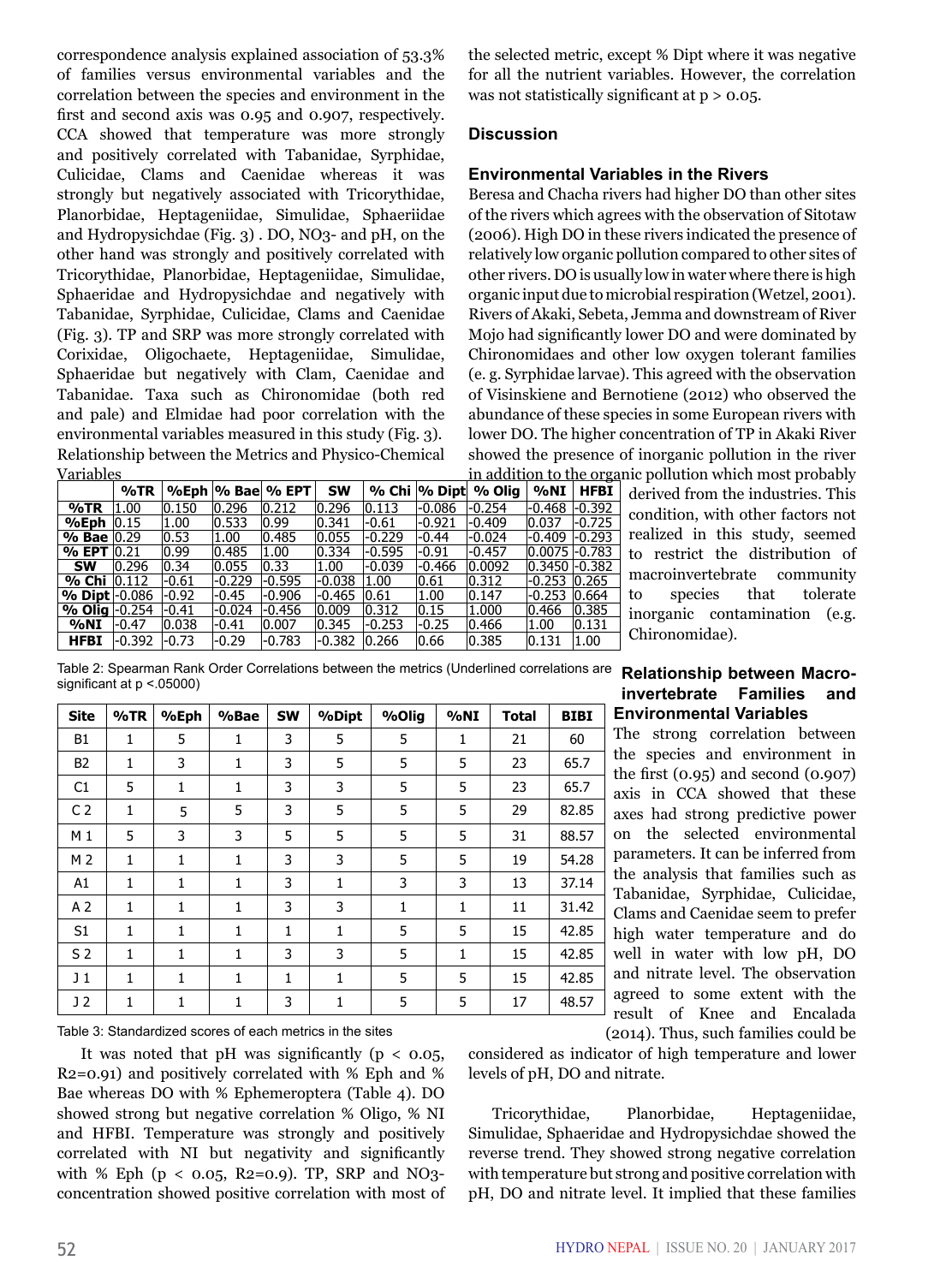correspondence analysis explained association of 53.3% of families versus environmental variables and the correlation between the species and environment in the first and second axis was 0.95 and 0.907, respectively. CCA showed that temperature was more strongly and positively correlated with Tabanidae, Syrphidae, Culicidae, Clams and Caenidae whereas it was strongly but negatively associated with Tricorythidae, Planorbidae, Heptageniidae, Simulidae, Sphaeriidae and Hydropysichdae (Fig. 3) . DO, NO3- and pH, on the other hand was strongly and positively correlated with Tricorythidae, Planorbidae, Heptageniidae, Simulidae, Sphaeridae and Hydropysichdae and negatively with Tabanidae, Syrphidae, Culicidae, Clams and Caenidae (Fig. 3). TP and SRP was more strongly correlated with Corixidae, Oligochaete, Heptageniidae, Simulidae, Sphaeridae but negatively with Clam, Caenidae and Tabanidae. Taxa such as Chironomidae (both red and pale) and Elmidae had poor correlation with the environmental variables measured in this study (Fig. 3). Relationship between the Metrics and Physico-Chemical Variables

| _________         |        |                |          |                    |                 |                |               | <u> aaaanon to the org</u> |                   |             |
|-------------------|--------|----------------|----------|--------------------|-----------------|----------------|---------------|----------------------------|-------------------|-------------|
|                   | %TR    |                |          | %Eph  % Bae  % EPT | <b>SW</b>       |                | % Chi  % Dipt | % Olig                     | %NI               | <b>HFBI</b> |
| %TR               | 1.00   | 0.150          | 0.296    | 0.212              | 0.296           | 0.113          | $-0.086$      | $-0.254$                   | $-0.468$          | $-0.392$    |
| $%Eph$ 0.15       |        | 1.00           | 0.533    | $ 0.99\rangle$     | 0.341           | -0.61          | -0.921        | -0.409                     | 0.037             | $-0.725$    |
| $%$ Bae $ 0.29$   |        | 0.53           | 1.00     | 0.485              | 0.055           | $-0.229$       | $-0.44$       | $-0.024$                   | -0.409            | $-0.293$    |
| $%$ EPT $ 0.21$   |        | $ 0.99\rangle$ | 0.485    | 1.00               | 0.334           | $-0.595$       | -0.91         | -0.457                     | $ 0.0075 $ -0.783 |             |
| <b>SW</b>         | 0.296  | 0.34           | 0.055    | 0.33               | 1.00            | -0.039         | $-0.466$      | 0.0092                     | $ 0.3450 $ -0.382 |             |
| % Chi 0.112       |        | -0.61          | -0.229   | -0.595             | -0.038          | $ 1.00\rangle$ | 10.61         | 0.312                      | $-0.253$ $0.265$  |             |
| $%$ Dipt $-0.086$ |        | $-0.92$        | -0.45    | $-0.906$           | -0.465          | 0.61           | 1.00          | 0.147                      | $-0.253$          | 0.664       |
| % Olig $-0.254$   |        | -0.41          | $-0.024$ | -0.456             | $ 0.009\rangle$ | 0.312          | 10.15         | 1.000                      | 0.466             | 0.385       |
| %NI               | -0.47  | 0.038          | -0.41    | 0.007              | 0.345           | $-0.253$       | -0.25         | 0.466                      | 1.00              | 0.131       |
| <b>HFBI</b>       | -0.392 | $-0.73$        | $-0.29$  | $-0.783$           | -0.382          | 0.266          | 10.66         | 0.385                      | 0.131             | 1.00        |

the selected metric, except % Dipt where it was negative for all the nutrient variables. However, the correlation was not statistically significant at  $p > 0.05$ .

## **Discussion**

## **Environmental Variables in the Rivers**

Beresa and Chacha rivers had higher DO than other sites of the rivers which agrees with the observation of Sitotaw (2006). High DO in these rivers indicated the presence of relatively low organic pollution compared to other sites of other rivers. DO is usually low in water where there is high organic input due to microbial respiration (Wetzel, 2001). Rivers of Akaki, Sebeta, Jemma and downstream of River Mojo had significantly lower DO and were dominated by Chironomidaes and other low oxygen tolerant families (e. g. Syrphidae larvae). This agreed with the observation of Visinskiene and Bernotiene (2012) who observed the abundance of these species in some European rivers with lower DO. The higher concentration of TP in Akaki River showed the presence of inorganic pollution in the river

in addition to the organic pollution which most probably I derived from the industries. This condition, with other factors not realized in this study, seemed to restrict the distribution of macroinvertebrate community to species that tolerate inorganic contamination (e.g. Chironomidae).

Table 2: Spearman Rank Order Correlations between the metrics (Underlined correlations are significant at  $p < 05000$ )

| <b>Site</b>    | %TR | %Eph         | $%$ Bae      | <b>SW</b> | %Dipt | %Olig | %NI | <b>Total</b> | <b>BIBI</b> |  |
|----------------|-----|--------------|--------------|-----------|-------|-------|-----|--------------|-------------|--|
| B <sub>1</sub> | 1   | 5            | 1            | 3         | 5     | 5     | 1   | 21           | 60          |  |
| B <sub>2</sub> | 1   | 3            | 1            | 3         | 5     | 5     | 5   | 23           | 65.7        |  |
| C1             | 5   | $\mathbf{1}$ | 1            | 3         | 3     | 5     | 5   | 23           | 65.7        |  |
| C <sub>2</sub> | 1   | 5            | 5            | 3         | 5     | 5     | 5   | 29           | 82.85       |  |
| M 1            | 5   | 3            | 3            | 5         | 5     | 5     | 5   | 31           | 88.57       |  |
| M <sub>2</sub> | 1   | $\mathbf{1}$ | 1            | 3         | 3     | 5     | 5   | 19           | 54.28       |  |
| A1             | 1   | 1            | 1            | 3         | 1     | 3     | 3   | 13           | 37.14       |  |
| A <sub>2</sub> | 1   | 1            | $\mathbf{1}$ | 3         | 3     | 1     | 1   | 11           | 31.42       |  |
| S <sub>1</sub> | 1   | 1            | $\mathbf{1}$ | 1         | 1     | 5     | 5   | 15           | 42.85       |  |
| S <sub>2</sub> | 1   | 1            | $\mathbf{1}$ | 3         | 3     | 5     | 1   | 15           | 42.85       |  |
| J <sub>1</sub> | 1   | 1            | 1            | 1         | 1     | 5     | 5   | 15           | 42.85       |  |
| J <sub>2</sub> | 1   | 1            | 1            | 3         | 1     | 5     | 5   | 17           | 48.57       |  |

**Relationship between Macroinvertebrate Families and Environmental Variables**

The strong correlation between the species and environment in the first  $(0.95)$  and second  $(0.907)$ axis in CCA showed that these axes had strong predictive power on the selected environmental parameters. It can be inferred from the analysis that families such as Tabanidae, Syrphidae, Culicidae, Clams and Caenidae seem to prefer high water temperature and do well in water with low pH, DO and nitrate level. The observation agreed to some extent with the result of Knee and Encalada (2014). Thus, such families could be

Table 3: Standardized scores of each metrics in the sites

It was noted that pH was significantly ( $p < 0.05$ , R2=0.91) and positively correlated with % Eph and % Bae whereas DO with % Ephemeroptera (Table 4). DO showed strong but negative correlation % Oligo, % NI and HFBI. Temperature was strongly and positively correlated with NI but negativity and significantly with % Eph ( $p < 0.05$ , R2=0.9). TP, SRP and NO3concentration showed positive correlation with most of considered as indicator of high temperature and lower levels of pH, DO and nitrate.

Tricorythidae, Planorbidae, Heptageniidae, Simulidae, Sphaeridae and Hydropysichdae showed the reverse trend. They showed strong negative correlation with temperature but strong and positive correlation with pH, DO and nitrate level. It implied that these families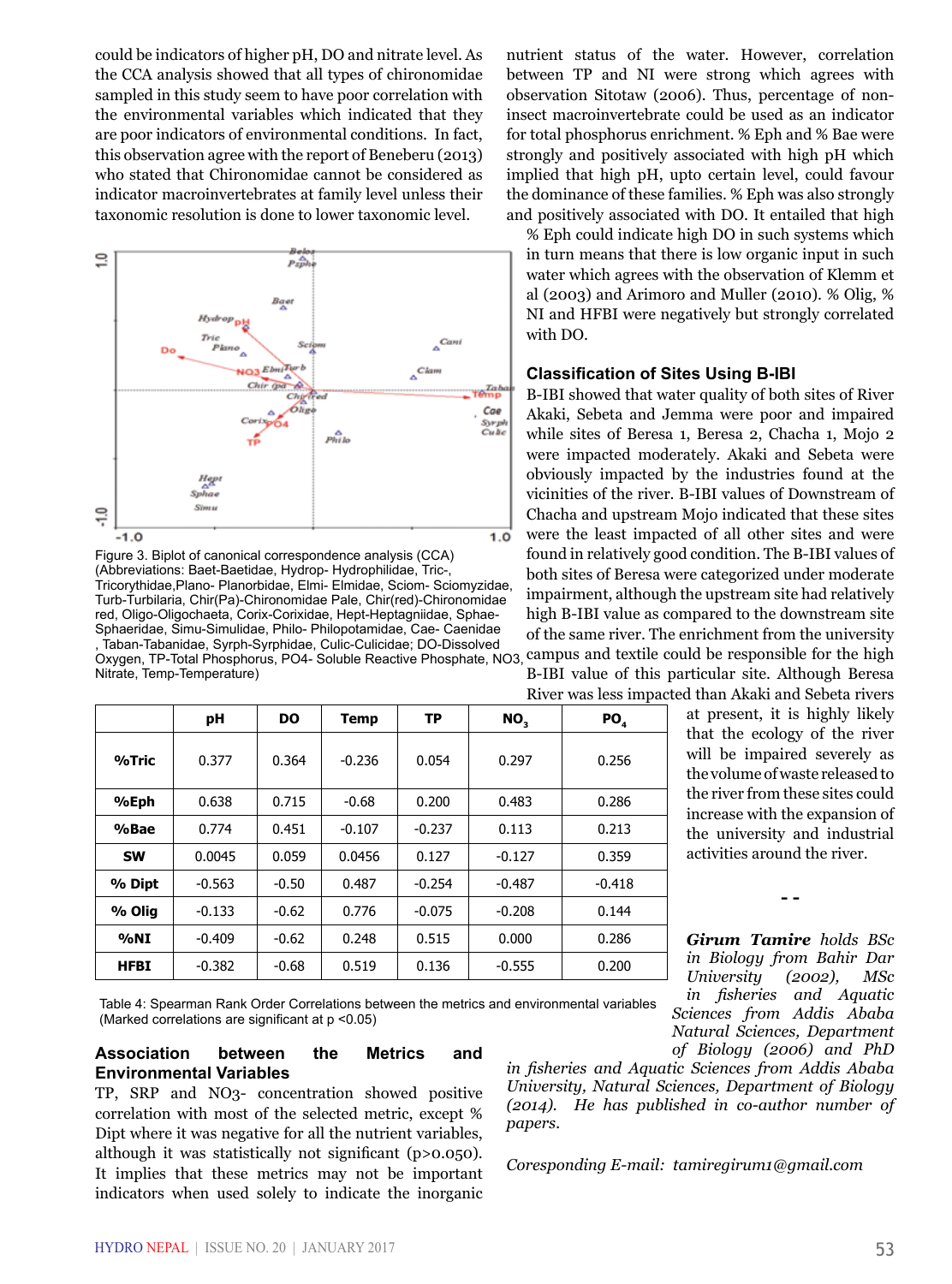could be indicators of higher pH, DO and nitrate level. As the CCA analysis showed that all types of chironomidae sampled in this study seem to have poor correlation with the environmental variables which indicated that they are poor indicators of environmental conditions. In fact, this observation agree with the report of Beneberu (2013) who stated that Chironomidae cannot be considered as indicator macroinvertebrates at family level unless their taxonomic resolution is done to lower taxonomic level.



campus and textile constrained, specific contracts, the contracts, and could be responsible for the high could be responsible for the high Figure 3. Biplot of canonical correspondence analysis (CCA) (Abbreviations: Baet-Baetidae, Hydrop- Hydrophilidae, Tric-, Tricorythidae,Plano- Planorbidae, Elmi- Elmidae, Sciom- Sciomyzidae, Turb-Turbilaria, Chir(Pa)-Chironomidae Pale, Chir(red)-Chironomidae red, Oligo-Oligochaeta, Corix-Corixidae, Hept-Heptagniidae, Sphae-Sphaeridae, Simu-Simulidae, Philo- Philopotamidae, Cae- Caenidae , Taban-Tabanidae, Syrph-Syrphidae, Culic-Culicidae; DO-Dissolved Nitrate, Temp-Temperature)

nutrient status of the water. However, correlation between TP and NI were strong which agrees with observation Sitotaw (2006). Thus, percentage of noninsect macroinvertebrate could be used as an indicator for total phosphorus enrichment. % Eph and % Bae were strongly and positively associated with high pH which implied that high pH, upto certain level, could favour the dominance of these families. % Eph was also strongly and positively associated with DO. It entailed that high

% Eph could indicate high DO in such systems which in turn means that there is low organic input in such water which agrees with the observation of Klemm et al (2003) and Arimoro and Muller (2010). % Olig, % NI and HFBI were negatively but strongly correlated with DO.

#### **Classification of Sites Using B-IBI**

B-IBI showed that water quality of both sites of River Akaki, Sebeta and Jemma were poor and impaired while sites of Beresa 1, Beresa 2, Chacha 1, Mojo 2 were impacted moderately. Akaki and Sebeta were obviously impacted by the industries found at the vicinities of the river. B-IBI values of Downstream of Chacha and upstream Mojo indicated that these sites were the least impacted of all other sites and were found in relatively good condition. The B-IBI values of both sites of Beresa were categorized under moderate impairment, although the upstream site had relatively high B-IBI value as compared to the downstream site of the same river. The enrichment from the university

B-IBI value of this particular site. Although Beresa River was less impacted than Akaki and Sebeta rivers

|             | рH       | D <sub>O</sub> | Temp     | ТP       | NO <sub>3</sub> | PO <sub>4</sub> |
|-------------|----------|----------------|----------|----------|-----------------|-----------------|
| %Tric       | 0.377    | 0.364          | $-0.236$ | 0.054    | 0.297           | 0.256           |
| %Eph        | 0.638    | 0.715          | $-0.68$  | 0.200    | 0.483           | 0.286           |
| $%$ Bae     | 0.774    | 0.451          | $-0.107$ | $-0.237$ | 0.113           | 0.213           |
| <b>SW</b>   | 0.0045   | 0.059          | 0.0456   | 0.127    | $-0.127$        | 0.359           |
| % Dipt      | $-0.563$ | $-0.50$        | 0.487    | $-0.254$ | $-0.487$        | $-0.418$        |
| % Olig      | $-0.133$ | $-0.62$        | 0.776    | $-0.075$ | $-0.208$        | 0.144           |
| %NI         | $-0.409$ | $-0.62$        | 0.248    | 0.515    | 0.000           | 0.286           |
| <b>HFBI</b> | $-0.382$ | $-0.68$        | 0.519    | 0.136    | $-0.555$        | 0.200           |

at present, it is highly likely that the ecology of the river will be impaired severely as the volume of waste released to the river from these sites could increase with the expansion of the university and industrial activities around the river.

*Girum Tamire holds BSc in Biology from Bahir Dar University (2002), MSc in fisheries and Aquatic Sciences from Addis Ababa Natural Sciences, Department of Biology (2006) and PhD* 

**- -**

Table 4: Spearman Rank Order Correlations between the metrics and environmental variables (Marked correlations are significant at p <0.05)

## **Association between the Metrics and Environmental Variables**

TP, SRP and NO3- concentration showed positive correlation with most of the selected metric, except % Dipt where it was negative for all the nutrient variables, although it was statistically not significant (p>0.050). It implies that these metrics may not be important indicators when used solely to indicate the inorganic

*in fisheries and Aquatic Sciences from Addis Ababa University, Natural Sciences, Department of Biology (2014). He has published in co-author number of papers.*

*Coresponding E-mail: tamiregirum1@gmail.com*